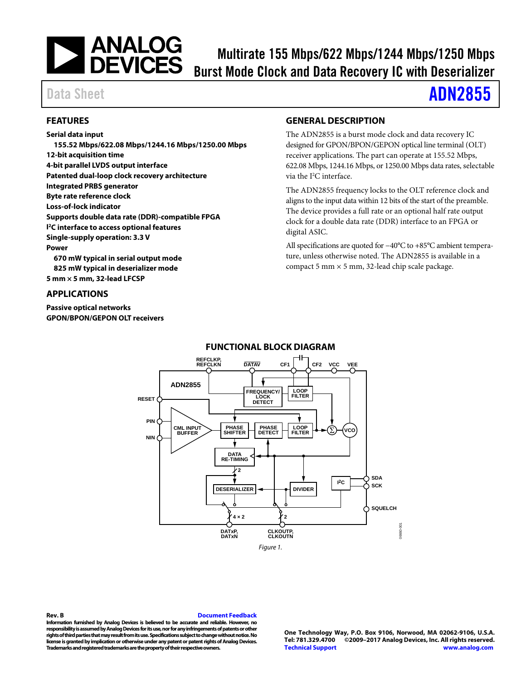

# Multirate 155 Mbps/622 Mbps/1244 Mbps/1250 Mbps Burst Mode Clock and Data Recovery IC with Deserializer

# Data Sheet **[ADN2855](http://www.analog.com/ADN2855?doc=ADN2855.pdf)**

### <span id="page-0-0"></span>**FEATURES**

**Serial data input 155.52 Mbps/622.08 Mbps/1244.16 Mbps/1250.00 Mbps 12-bit acquisition time 4-bit parallel LVDS output interface Patented dual-loop clock recovery architecture Integrated PRBS generator Byte rate reference clock Loss-of-lock indicator Supports double data rate (DDR)-compatible FPGA I 2C interface to access optional features Single-supply operation: 3.3 V Power 670 mW typical in serial output mode 825 mW typical in deserializer mode 5 mm × 5 mm, 32-lead LFCSP**

### <span id="page-0-1"></span>**APPLICATIONS**

<span id="page-0-3"></span>**Passive optical networks GPON/BPON/GEPON OLT receivers**

### <span id="page-0-2"></span>**GENERAL DESCRIPTION**

The ADN2855 is a burst mode clock and data recovery IC designed for GPON/BPON/GEPON optical line terminal (OLT) receiver applications. The part can operate at 155.52 Mbps, 622.08 Mbps, 1244.16 Mbps, or 1250.00 Mbps data rates, selectable via the I<sup>2</sup>C interface.

The ADN2855 frequency locks to the OLT reference clock and aligns to the input data within 12 bits of the start of the preamble. The device provides a full rate or an optional half rate output clock for a double data rate (DDR) interface to an FPGA or digital ASIC.

All specifications are quoted for −40°C to +85°C ambient temperature, unless otherwise noted. The ADN2855 is available in a compact 5 mm  $\times$  5 mm, 32-lead chip scale package.



## **FUNCTIONAL BLOCK DIAGRAM**

**Rev. B [Document Feedback](https://form.analog.com/Form_Pages/feedback/documentfeedback.aspx?doc=ADN2855.pdf&product=ADN2855&rev=b) Information furnished by Analog Devices is believed to be accurate and reliable. However, no responsibility is assumed by Analog Devices for its use, nor for any infringements of patents or other rights of third parties that may result from its use. Specifications subject to change without notice. No license is granted by implication or otherwise under any patent or patent rights of Analog Devices. Trademarks and registered trademarks are the property of their respective owners.**

**One Technology Way, P.O. Box 9106, Norwood, MA 02062-9106, U.S.A. Tel: 781.329.4700 ©2009–2017 Analog Devices, Inc. All rights reserved. [Technical Support](http://www.analog.com/en/content/technical_support_page/fca.html) [www.analog.com](http://www.analog.com/)**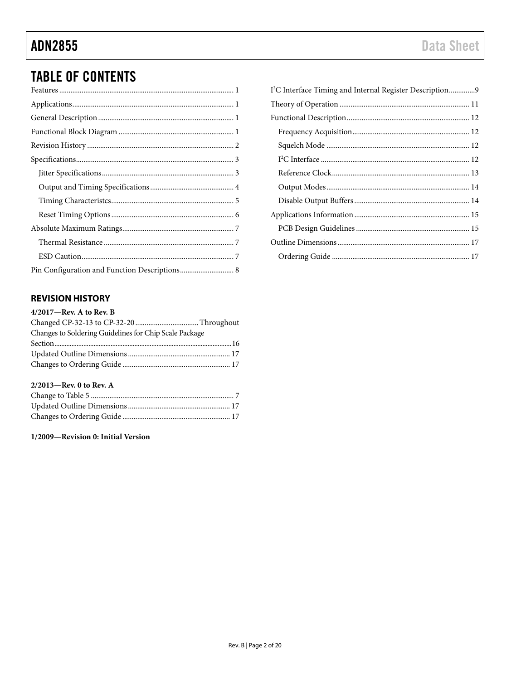# **TABLE OF CONTENTS**

| Pin Configuration and Function Descriptions 8 |
|-----------------------------------------------|

# <span id="page-1-0"></span>**REVISION HISTORY**

#### 2/2013-Rev. 0 to Rev. A

### 1/2009-Revision 0: Initial Version

| I <sup>2</sup> C Interface Timing and Internal Register Description9 |  |
|----------------------------------------------------------------------|--|
|                                                                      |  |
|                                                                      |  |
|                                                                      |  |
|                                                                      |  |
|                                                                      |  |
|                                                                      |  |
|                                                                      |  |
|                                                                      |  |
|                                                                      |  |
|                                                                      |  |
|                                                                      |  |
|                                                                      |  |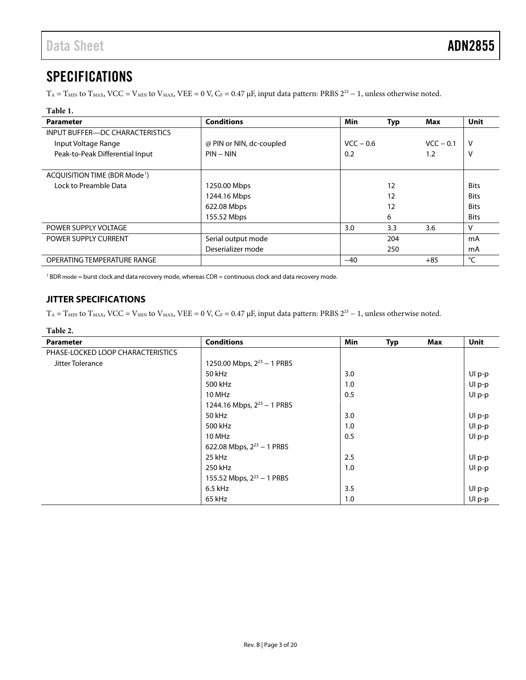# <span id="page-2-0"></span>SPECIFICATIONS

 $T_A = T_{MIN}$  to  $T_{MAX}$ , VCC =  $V_{MIN}$  to  $V_{MAX}$ , VEE = 0 V, C<sub>F</sub> = 0.47 µF, input data pattern: PRBS 2<sup>23</sup> – 1, unless otherwise noted.

#### **Table 1.**

| <b>Parameter</b>                          | <b>Conditions</b>        | Min         | <b>Typ</b> | Max         | <b>Unit</b> |
|-------------------------------------------|--------------------------|-------------|------------|-------------|-------------|
| INPUT BUFFER-DC CHARACTERISTICS           |                          |             |            |             |             |
| Input Voltage Range                       | @ PIN or NIN, dc-coupled | $VCC - 0.6$ |            | $VCC - 0.1$ | v           |
| Peak-to-Peak Differential Input           | $PIN - NIN$              | 0.2         |            | 1.2         | ٧           |
|                                           |                          |             |            |             |             |
| ACQUISITION TIME (BDR Mode <sup>1</sup> ) |                          |             |            |             |             |
| Lock to Preamble Data                     | 1250.00 Mbps             |             | 12         |             | <b>Bits</b> |
|                                           | 1244.16 Mbps             |             | 12         |             | <b>Bits</b> |
|                                           | 622.08 Mbps              |             | 12         |             | <b>Bits</b> |
|                                           | 155.52 Mbps              |             | 6          |             | <b>Bits</b> |
| POWER SUPPLY VOLTAGE                      |                          | 3.0         | 3.3        | 3.6         | v           |
| POWER SUPPLY CURRENT                      | Serial output mode       |             | 204        |             | mA          |
|                                           | Deserializer mode        |             | 250        |             | mA          |
| OPERATING TEMPERATURE RANGE               |                          | $-40$       |            | $+85$       | °C          |

<sup>1</sup> BDR mode = burst clock and data recovery mode, whereas CDR = continuous clock and data recovery mode.

## <span id="page-2-1"></span>**JITTER SPECIFICATIONS**

 $T_A = T_{MIN}$  to  $T_{MAX}$ , VCC =  $V_{MIN}$  to  $V_{MAX}$ , VEE = 0 V, C<sub>F</sub> = 0.47 µF, input data pattern: PRBS  $2^{23} - 1$ , unless otherwise noted.

#### **Table 2.**

| Parameter                         | <b>Conditions</b>               | Min | <b>Typ</b> | Max | Unit   |
|-----------------------------------|---------------------------------|-----|------------|-----|--------|
| PHASE-LOCKED LOOP CHARACTERISTICS |                                 |     |            |     |        |
| Jitter Tolerance                  | 1250.00 Mbps, $2^{23}$ – 1 PRBS |     |            |     |        |
|                                   | 50 kHz                          | 3.0 |            |     | Ul p-p |
|                                   | 500 kHz                         | 1.0 |            |     | Ul p-p |
|                                   | 10 MHz                          | 0.5 |            |     | Ul p-p |
|                                   | 1244.16 Mbps, $2^{23}$ – 1 PRBS |     |            |     |        |
|                                   | 50 kHz                          | 3.0 |            |     | Ul p-p |
|                                   | 500 kHz                         | 1.0 |            |     | Ul p-p |
|                                   | 10 MHz                          | 0.5 |            |     | Ul p-p |
|                                   | 622.08 Mbps, $2^{23}$ – 1 PRBS  |     |            |     |        |
|                                   | 25 kHz                          | 2.5 |            |     | Ul p-p |
|                                   | 250 kHz                         | 1.0 |            |     | Ul p-p |
|                                   | 155.52 Mbps, $2^{23}$ – 1 PRBS  |     |            |     |        |
|                                   | 6.5 kHz                         | 3.5 |            |     | Ul p-p |
|                                   | 65 kHz                          | 1.0 |            |     | Ul p-p |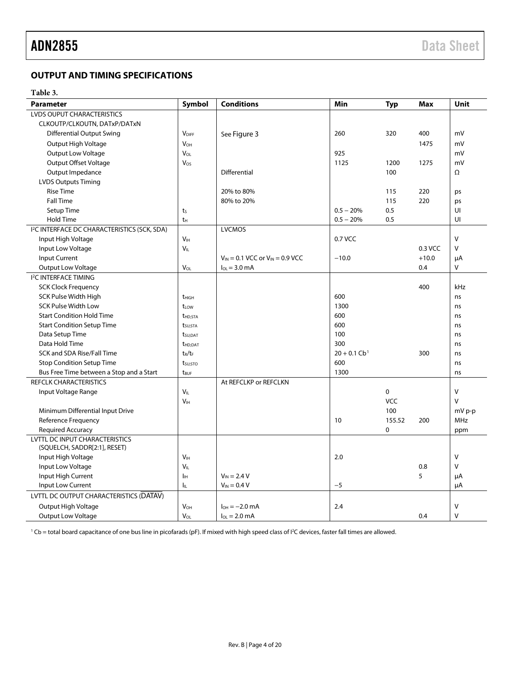## <span id="page-3-0"></span>**OUTPUT AND TIMING SPECIFICATIONS**

#### **Table 3.**

| <b>Parameter</b>                                         | Symbol                | <b>Conditions</b>                        | Min                        | <b>Typ</b>  | Max     | <b>Unit</b>  |
|----------------------------------------------------------|-----------------------|------------------------------------------|----------------------------|-------------|---------|--------------|
| <b>LVDS OUPUT CHARACTERISTICS</b>                        |                       |                                          |                            |             |         |              |
| CLKOUTP/CLKOUTN, DATxP/DATxN                             |                       |                                          |                            |             |         |              |
| <b>Differential Output Swing</b>                         | <b>VDIFF</b>          | See Figure 3                             | 260                        | 320         | 400     | mV           |
| Output High Voltage                                      | <b>V<sub>OH</sub></b> |                                          |                            |             | 1475    | mV           |
| <b>Output Low Voltage</b>                                | VOL                   |                                          | 925                        |             |         | mV           |
| Output Offset Voltage                                    | $V_{OS}$              |                                          | 1125                       | 1200        | 1275    | mV           |
| Output Impedance                                         |                       | <b>Differential</b>                      |                            | 100         |         | Ω            |
| <b>LVDS Outputs Timing</b>                               |                       |                                          |                            |             |         |              |
| <b>Rise Time</b>                                         |                       | 20% to 80%                               |                            | 115         | 220     | ps           |
| <b>Fall Time</b>                                         |                       | 80% to 20%                               |                            | 115         | 220     | ps           |
| Setup Time                                               | $t_{S}$               |                                          | $0.5 - 20%$                | 0.5         |         | UI           |
| <b>Hold Time</b>                                         | t <sub>Η</sub>        |                                          | $0.5 - 20%$                | 0.5         |         | UI           |
| I <sup>2</sup> C INTERFACE DC CHARACTERISTICS (SCK, SDA) |                       | <b>LVCMOS</b>                            |                            |             |         |              |
| Input High Voltage                                       | V <sub>IH</sub>       |                                          | 0.7 VCC                    |             |         | $\vee$       |
| Input Low Voltage                                        | V <sub>IL</sub>       |                                          |                            |             | 0.3 VCC | $\mathsf{V}$ |
| Input Current                                            |                       | $V_{IN} = 0.1$ VCC or $V_{IN} = 0.9$ VCC | $-10.0$                    |             | $+10.0$ | μA           |
| Output Low Voltage                                       | $V_{OI}$              | $I_{01} = 3.0$ mA                        |                            |             | 0.4     | V            |
| <b>I<sup>2</sup>C INTERFACE TIMING</b>                   |                       |                                          |                            |             |         |              |
| <b>SCK Clock Frequency</b>                               |                       |                                          |                            |             | 400     | kHz          |
| SCK Pulse Width High                                     | $t_{HIGH}$            |                                          | 600                        |             |         | ns           |
| <b>SCK Pulse Width Low</b>                               | t <sub>LOW</sub>      |                                          | 1300                       |             |         | ns           |
| <b>Start Condition Hold Time</b>                         | <b>t</b> HD;STA       |                                          | 600                        |             |         | ns           |
| <b>Start Condition Setup Time</b>                        | t <sub>su;Sta</sub>   |                                          | 600                        |             |         | ns           |
| Data Setup Time                                          | t <sub>su;DAT</sub>   |                                          | 100                        |             |         | ns           |
| Data Hold Time                                           | <b>t</b> HD:DAT       |                                          | 300                        |             |         | ns           |
| SCK and SDA Rise/Fall Time                               | $t_R/t_F$             |                                          | $20 + 0.1$ Cb <sup>1</sup> |             | 300     | ns           |
| <b>Stop Condition Setup Time</b>                         | $t_{\text{SU;STO}}$   |                                          | 600                        |             |         | ns           |
| Bus Free Time between a Stop and a Start                 | t <sub>BUF</sub>      |                                          | 1300                       |             |         | ns           |
| <b>REFCLK CHARACTERISTICS</b>                            |                       | At REFCLKP or REFCLKN                    |                            |             |         |              |
| Input Voltage Range                                      | $V_{IL}$              |                                          |                            | $\mathbf 0$ |         | $\vee$       |
|                                                          | V <sub>IH</sub>       |                                          |                            | <b>VCC</b>  |         | $\vee$       |
| Minimum Differential Input Drive                         |                       |                                          |                            | 100         |         | mV p-p       |
| <b>Reference Frequency</b>                               |                       |                                          | 10                         | 155.52      | 200     | MHz          |
| <b>Required Accuracy</b>                                 |                       |                                          |                            | $\mathbf 0$ |         | ppm          |
| <b>LVTTL DC INPUT CHARACTERISTICS</b>                    |                       |                                          |                            |             |         |              |
| (SQUELCH, SADDR[2:1], RESET)                             |                       |                                          |                            |             |         |              |
| Input High Voltage                                       | V <sub>IH</sub>       |                                          | 2.0                        |             |         | $\mathsf{V}$ |
| Input Low Voltage                                        | VIL                   |                                          |                            |             | 0.8     | $\vee$       |
| Input High Current                                       | Ιн                    | $V_{IN} = 2.4 V$                         |                            |             | 5       | μA           |
| Input Low Current                                        | lμ                    | $V_{IN} = 0.4 V$                         | $-5$                       |             |         | μA           |
| LVTTL DC OUTPUT CHARACTERISTICS (DATAV)                  |                       |                                          |                            |             |         |              |
| Output High Voltage                                      | <b>V<sub>OH</sub></b> | $I_{OH} = -2.0$ mA                       | 2.4                        |             |         | V            |
| <b>Output Low Voltage</b>                                | V <sub>OL</sub>       | $I_{01} = 2.0$ mA                        |                            |             | 0.4     | $\vee$       |

<sup>1</sup> Cb = total board capacitance of one bus line in picofarads (pF). If mixed with high speed class of I<sup>2</sup>C devices, faster fall times are allowed.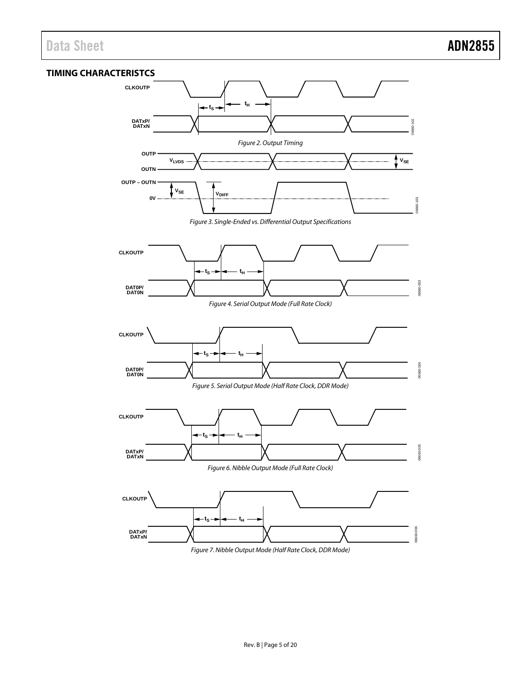### <span id="page-4-1"></span><span id="page-4-0"></span>**TIMING CHARACTERISTCS**



*Figure 7. Nibble Output Mode (Half Rate Clock, DDR Mode)*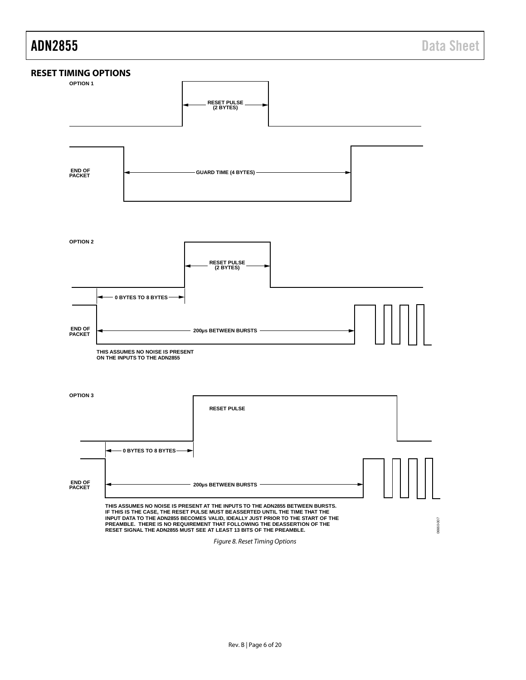<span id="page-5-0"></span>

*Figure 8. Reset Timing Options*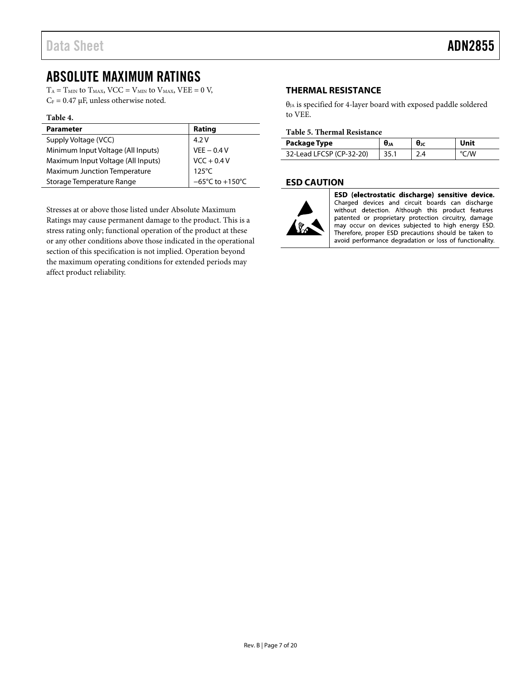# <span id="page-6-0"></span>ABSOLUTE MAXIMUM RATINGS

 $T_A = T_{MIN}$  to  $T_{MAX}$ ,  $VCC = V_{MIN}$  to  $V_{MAX}$ ,  $VEE = 0$  V,  $C_F = 0.47 \mu F$ , unless otherwise noted.

#### **Table 4.**

| <b>Parameter</b>                    | Rating                               |
|-------------------------------------|--------------------------------------|
| Supply Voltage (VCC)                | 4.2V                                 |
| Minimum Input Voltage (All Inputs)  | $VEE - 0.4 V$                        |
| Maximum Input Voltage (All Inputs)  | $VCC + 0.4 V$                        |
| <b>Maximum Junction Temperature</b> | $125^{\circ}$ C                      |
| Storage Temperature Range           | $-65^{\circ}$ C to +150 $^{\circ}$ C |

Stresses at or above those listed under Absolute Maximum Ratings may cause permanent damage to the product. This is a stress rating only; functional operation of the product at these or any other conditions above those indicated in the operational section of this specification is not implied. Operation beyond the maximum operating conditions for extended periods may affect product reliability.

### <span id="page-6-1"></span>**THERMAL RESISTANCE**

 $\theta_{JA}$  is specified for 4-layer board with exposed paddle soldered to VEE.

#### **Table 5. Thermal Resistance**

| Package Type             | $\theta_{JA}$ | θк  | Unit |
|--------------------------|---------------|-----|------|
| 32-Lead LFCSP (CP-32-20) |               | 2.4 | 'N   |

### <span id="page-6-2"></span>**ESD CAUTION**



ESD (electrostatic discharge) sensitive device. Charged devices and circuit boards can discharge without detection. Although this product features patented or proprietary protection circuitry, damage may occur on devices subjected to high energy ESD. Therefore, proper ESD precautions should be taken to avoid performance degradation or loss of functionality.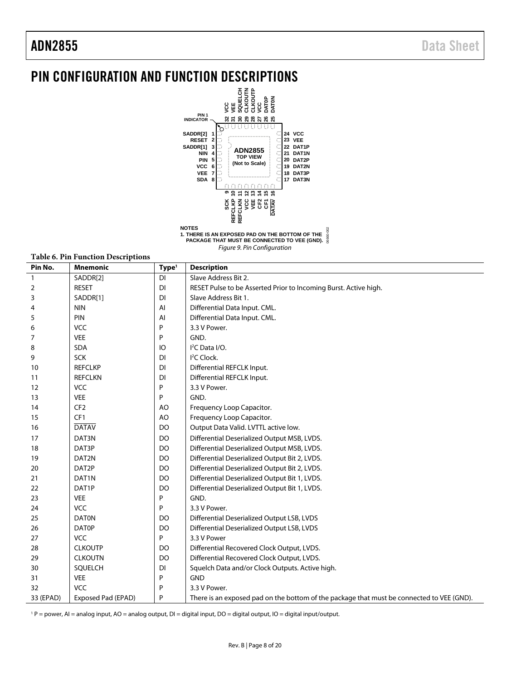# <span id="page-7-0"></span>PIN CONFIGURATION AND FUNCTION DESCRIPTIONS



Figure 9. Pin Configuration

06660-002

06660-002

|              | Table 0. 1 III Function Descriptions |                   |                                                                                           |  |  |  |
|--------------|--------------------------------------|-------------------|-------------------------------------------------------------------------------------------|--|--|--|
| Pin No.      | <b>Mnemonic</b>                      | Type <sup>1</sup> | <b>Description</b>                                                                        |  |  |  |
| $\mathbf{1}$ | SADDR[2]                             | DI                | Slave Address Bit 2.                                                                      |  |  |  |
| 2            | <b>RESET</b>                         | DI                | RESET Pulse to be Asserted Prior to Incoming Burst. Active high.                          |  |  |  |
| 3            | SADDR[1]                             | DI                | Slave Address Bit 1.                                                                      |  |  |  |
| 4            | <b>NIN</b>                           | Al                | Differential Data Input. CML.                                                             |  |  |  |
| 5            | PIN                                  | AI                | Differential Data Input. CML.                                                             |  |  |  |
| 6            | <b>VCC</b>                           | P                 | 3.3 V Power.                                                                              |  |  |  |
| 7            | <b>VEE</b>                           | P                 | GND.                                                                                      |  |  |  |
| 8            | SDA                                  | IO                | I <sup>2</sup> C Data I/O.                                                                |  |  |  |
| 9            | <b>SCK</b>                           | DI                | <sup>2</sup> C Clock.                                                                     |  |  |  |
| 10           | <b>REFCLKP</b>                       | DI                | Differential REFCLK Input.                                                                |  |  |  |
| 11           | <b>REFCLKN</b>                       | DI                | Differential REFCLK Input.                                                                |  |  |  |
| 12           | <b>VCC</b>                           | P                 | 3.3 V Power.                                                                              |  |  |  |
| 13           | <b>VEE</b>                           | P                 | GND.                                                                                      |  |  |  |
| 14           | CF <sub>2</sub>                      | AO                | Frequency Loop Capacitor.                                                                 |  |  |  |
| 15           | CF <sub>1</sub>                      | AO                | Frequency Loop Capacitor.                                                                 |  |  |  |
| 16           | <b>DATAV</b>                         | <b>DO</b>         | Output Data Valid. LVTTL active low.                                                      |  |  |  |
| 17           | DAT3N                                | DO                | Differential Deserialized Output MSB, LVDS.                                               |  |  |  |
| 18           | DAT3P                                | DO                | Differential Deserialized Output MSB, LVDS.                                               |  |  |  |
| 19           | DAT2N                                | DO                | Differential Deserialized Output Bit 2, LVDS.                                             |  |  |  |
| 20           | DAT2P                                | DO                | Differential Deserialized Output Bit 2, LVDS.                                             |  |  |  |
| 21           | DAT1N                                | DO                | Differential Deserialized Output Bit 1, LVDS.                                             |  |  |  |
| 22           | DAT1P                                | DO                | Differential Deserialized Output Bit 1, LVDS.                                             |  |  |  |
| 23           | <b>VEE</b>                           | P                 | GND.                                                                                      |  |  |  |
| 24           | VCC                                  | P                 | 3.3 V Power.                                                                              |  |  |  |
| 25           | <b>DATON</b>                         | DO                | Differential Deserialized Output LSB, LVDS                                                |  |  |  |
| 26           | <b>DATOP</b>                         | DO                | Differential Deserialized Output LSB, LVDS                                                |  |  |  |
| 27           | <b>VCC</b>                           | P                 | 3.3 V Power                                                                               |  |  |  |
| 28           | <b>CLKOUTP</b>                       | DO                | Differential Recovered Clock Output, LVDS.                                                |  |  |  |
| 29           | <b>CLKOUTN</b>                       | DO                | Differential Recovered Clock Output, LVDS.                                                |  |  |  |
| 30           | SQUELCH                              | DI                | Squelch Data and/or Clock Outputs. Active high.                                           |  |  |  |
| 31           | <b>VEE</b>                           | P                 | <b>GND</b>                                                                                |  |  |  |
| 32           | VCC                                  | P                 | 3.3 V Power.                                                                              |  |  |  |
| 33 (EPAD)    | Exposed Pad (EPAD)                   | P                 | There is an exposed pad on the bottom of the package that must be connected to VEE (GND). |  |  |  |

**Table 6. Pin Function Descriptions** 

 $1 P =$  power, AI = analog input, AO = analog output, DI = digital input, DO = digital output, IO = digital input/output.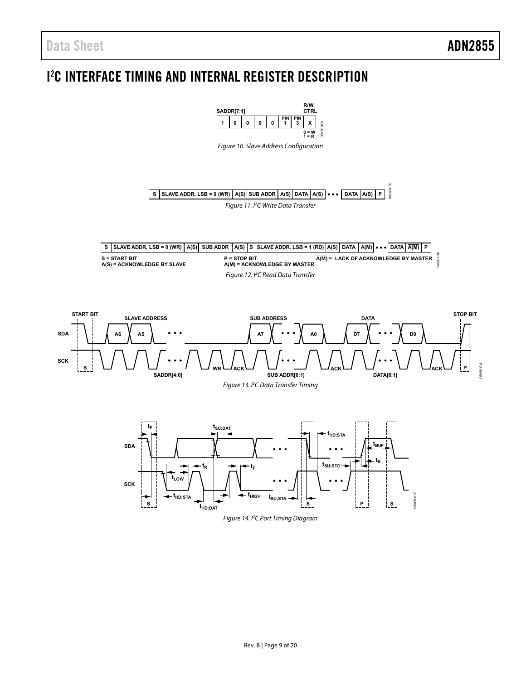<span id="page-8-4"></span>**SCK**

<span id="page-8-3"></span>**SDA**

# <span id="page-8-0"></span>I 2 C INTERFACE TIMING AND INTERNAL REGISTER DESCRIPTION

<span id="page-8-2"></span><span id="page-8-1"></span>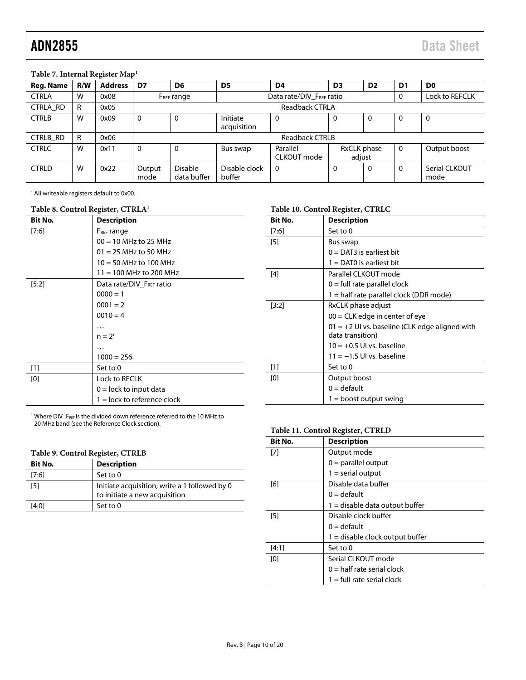#### <span id="page-9-0"></span>**Table 7. Internal Register Map1**

| Reg. Name       | R/W | <b>Address</b> | D7             | D <sub>6</sub>                                     | D <sub>5</sub>          | D4                      | D <sub>3</sub>        | D <sub>2</sub> | D <sub>1</sub> | D <sub>0</sub>        |
|-----------------|-----|----------------|----------------|----------------------------------------------------|-------------------------|-------------------------|-----------------------|----------------|----------------|-----------------------|
| <b>CTRLA</b>    | W   | 0x08           |                | Data rate/DIV FREE ratio<br>F <sub>REF</sub> range |                         |                         |                       | 0              | Lock to REFCLK |                       |
| <b>CTRLA RD</b> | R   | 0x05           |                | <b>Readback CTRLA</b>                              |                         |                         |                       |                |                |                       |
| <b>CTRLB</b>    | W   | 0x09           | $\mathbf 0$    | $\mathbf 0$                                        | Initiate<br>acquisition | 0                       | 0                     | $\Omega$       | 0              | 0                     |
| CTRLB_RD        | R   | 0x06           |                | <b>Readback CTRLB</b>                              |                         |                         |                       |                |                |                       |
| <b>CTRLC</b>    | W   | 0x11           | $\mathbf 0$    | $\mathbf 0$                                        | Bus swap                | Parallel<br>CLKOUT mode | RxCLK phase<br>adjust |                | $\mathbf{0}$   | Output boost          |
| <b>CTRLD</b>    | W   | 0x22           | Output<br>mode | <b>Disable</b><br>data buffer                      | Disable clock<br>buffer | $\mathbf{0}$            | $\Omega$              | $\Omega$       | 0              | Serial CLKOUT<br>mode |

<sup>1</sup> All writeable registers default to 0x00.

### **Table 8. Control Register, CTRLA1**

| <b>Bit No.</b> | <b>Description</b>            |
|----------------|-------------------------------|
| [7:6]          | F <sub>REF</sub> range        |
|                | $00 = 10$ MHz to 25 MHz       |
|                | $01 = 25$ MHz to 50 MHz       |
|                | $10 = 50$ MHz to 100 MHz      |
|                | $11 = 100$ MHz to 200 MHz     |
| $[5:2]$        | Data rate/DIV_FREF ratio      |
|                | $0000 = 1$                    |
|                | $0001 = 2$                    |
|                | $0010 = 4$                    |
|                |                               |
|                | $n = 2^n$                     |
|                |                               |
|                | $1000 = 256$                  |
| $[1]$          | Set to 0                      |
| [0]            | Lock to RFCLK                 |
|                | $0 =$ lock to input data      |
|                | $1 =$ lock to reference clock |

#### <span id="page-9-2"></span>**Table 10. Control Register, CTRLC**

| <b>Bit No.</b> | <b>Description</b>                                                   |  |  |  |
|----------------|----------------------------------------------------------------------|--|--|--|
| $[7:6]$        | Set to 0                                                             |  |  |  |
| [5]            | Bus swap                                                             |  |  |  |
|                | $0 =$ DAT3 is earliest bit                                           |  |  |  |
|                | $1 =$ DATO is earliest bit                                           |  |  |  |
| [4]            | Parallel CLKOUT mode                                                 |  |  |  |
|                | $0 =$ full rate parallel clock                                       |  |  |  |
|                | 1 = half rate parallel clock (DDR mode)                              |  |  |  |
| $[3:2]$        | RxCLK phase adjust                                                   |  |  |  |
|                | $00 = CLK$ edge in center of eye                                     |  |  |  |
|                | $01 = +2$ UI vs. baseline (CLK edge aligned with<br>data transition) |  |  |  |
|                | $10 = +0.5$ UI vs. baseline                                          |  |  |  |
|                | $11 = -1.5$ UI vs. baseline                                          |  |  |  |
| $[1]$          | Set to 0                                                             |  |  |  |
| [0]            | Output boost                                                         |  |  |  |
|                | $0 =$ default                                                        |  |  |  |
|                | $1 =$ boost output swing                                             |  |  |  |

<sup>1</sup> Where DIV\_F<sub>REF</sub> is the divided down reference referred to the 10 MHz to 20 MHz band (see th[e Reference Clock](#page-12-0) section).

#### **Table 9. Control Register, CTRLB**

| Bit No. | <b>Description</b>                                                             |
|---------|--------------------------------------------------------------------------------|
| [7:6]   | Set to 0                                                                       |
| [5]     | Initiate acquisition; write a 1 followed by 0<br>to initiate a new acquisition |
| [4:0]   | Set to 0                                                                       |

#### <span id="page-9-1"></span>**Table 11. Control Register, CTRLD**

| <b>Bit No.</b> | <b>Description</b>                |  |  |
|----------------|-----------------------------------|--|--|
| [7]            | Output mode                       |  |  |
|                | $0 =$ parallel output             |  |  |
|                | $1 =$ serial output               |  |  |
| [6]            | Disable data buffer               |  |  |
|                | $0 =$ default                     |  |  |
|                | $1 =$ disable data output buffer  |  |  |
| [5]            | Disable clock buffer              |  |  |
|                | $0 =$ default                     |  |  |
|                | $1 =$ disable clock output buffer |  |  |
| [4:1]          | Set to 0                          |  |  |
| [0]            | Serial CLKOUT mode                |  |  |
|                | $0 =$ half rate serial clock      |  |  |
|                | $1 =$ full rate serial clock      |  |  |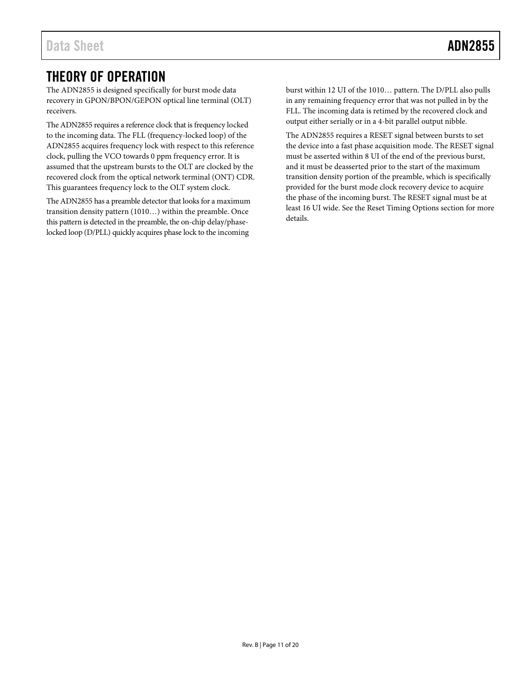# <span id="page-10-0"></span>THEORY OF OPERATION

The ADN2855 is designed specifically for burst mode data recovery in GPON/BPON/GEPON optical line terminal (OLT) receivers.

The ADN2855 requires a reference clock that is frequency locked to the incoming data. The FLL (frequency-locked loop) of the ADN2855 acquires frequency lock with respect to this reference clock, pulling the VCO towards 0 ppm frequency error. It is assumed that the upstream bursts to the OLT are clocked by the recovered clock from the optical network terminal (ONT) CDR. This guarantees frequency lock to the OLT system clock.

The ADN2855 has a preamble detector that looks for a maximum transition density pattern (1010…) within the preamble. Once this pattern is detected in the preamble, the on-chip delay/phaselocked loop (D/PLL) quickly acquires phase lock to the incoming

burst within 12 UI of the 1010… pattern. The D/PLL also pulls in any remaining frequency error that was not pulled in by the FLL. The incoming data is retimed by the recovered clock and output either serially or in a 4-bit parallel output nibble.

The ADN2855 requires a RESET signal between bursts to set the device into a fast phase acquisition mode. The RESET signal must be asserted within 8 UI of the end of the previous burst, and it must be deasserted prior to the start of the maximum transition density portion of the preamble, which is specifically provided for the burst mode clock recovery device to acquire the phase of the incoming burst. The RESET signal must be at least 16 UI wide. See th[e Reset Timing Options](#page-5-0) section for more details.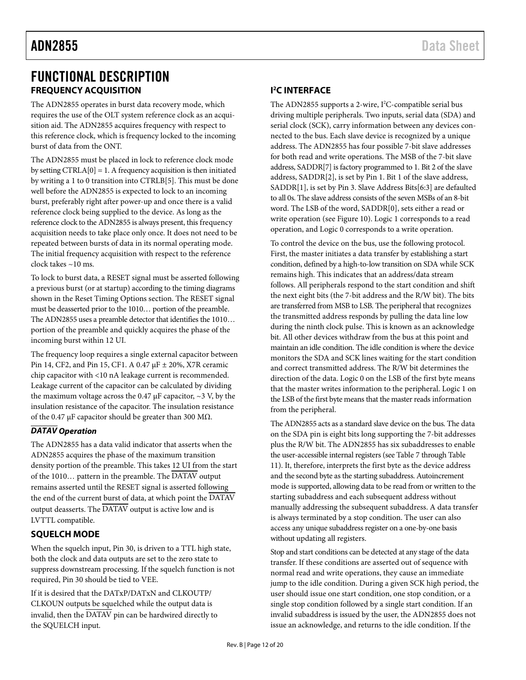# <span id="page-11-0"></span>FUNCTIONAL DESCRIPTION **FREQUENCY ACQUISITION**

<span id="page-11-1"></span>The ADN2855 operates in burst data recovery mode, which requires the use of the OLT system reference clock as an acquisition aid. The ADN2855 acquires frequency with respect to this reference clock, which is frequency locked to the incoming burst of data from the ONT.

The ADN2855 must be placed in lock to reference clock mode by setting CTRLA[0] = 1. A frequency acquisition is then initiated by writing a 1 to 0 transition into CTRLB[5]. This must be done well before the ADN2855 is expected to lock to an incoming burst, preferably right after power-up and once there is a valid reference clock being supplied to the device. As long as the reference clock to the ADN2855 is always present, this frequency acquisition needs to take place only once. It does not need to be repeated between bursts of data in its normal operating mode. The initial frequency acquisition with respect to the reference clock takes ~10 ms.

To lock to burst data, a RESET signal must be asserted following a previous burst (or at startup) according to the timing diagrams shown in the [Reset Timing Options](#page-5-0) section. The RESET signal must be deasserted prior to the 1010… portion of the preamble. The ADN2855 uses a preamble detector that identifies the 1010… portion of the preamble and quickly acquires the phase of the incoming burst within 12 UI.

The frequency loop requires a single external capacitor between Pin 14, CF2, and Pin 15, CF1. A 0.47 µF ± 20%, X7R ceramic chip capacitor with <10 nA leakage current is recommended. Leakage current of the capacitor can be calculated by dividing the maximum voltage across the 0.47  $\mu$ F capacitor, ~3 V, by the insulation resistance of the capacitor. The insulation resistance of the 0.47 μF capacitor should be greater than 300 MΩ.

# *DATAV Operation*

The ADN2855 has a data valid indicator that asserts when the ADN2855 acquires the phase of the maximum transition density portion of the preamble. This takes 12 UI from the start of the 1010… pattern in the preamble. The DATAV output remains asserted until the RESET signal is asserted following the end of the current burst of data, at which point the DATAV output deasserts. The  $\overline{\text{DATAV}}$  output is active low and is LVTTL compatible.

## <span id="page-11-2"></span>**SQUELCH MODE**

When the squelch input, Pin 30, is driven to a TTL high state, both the clock and data outputs are set to the zero state to suppress downstream processing. If the squelch function is not required, Pin 30 should be tied to VEE.

If it is desired that the DATxP/DATxN and CLKOUTP/ CLKOUN outputs be squelched while the output data is invalid, then the DATAV pin can be hardwired directly to the SQUELCH input.

### <span id="page-11-3"></span>**I 2 C INTERFACE**

The ADN2855 supports a 2-wire, I<sup>2</sup>C-compatible serial bus driving multiple peripherals. Two inputs, serial data (SDA) and serial clock (SCK), carry information between any devices connected to the bus. Each slave device is recognized by a unique address. The ADN2855 has four possible 7-bit slave addresses for both read and write operations. The MSB of the 7-bit slave address, SADDR[7] is factory programmed to 1. Bit 2 of the slave address, SADDR[2], is set by Pin 1. Bit 1 of the slave address, SADDR[1], is set by Pin 3. Slave Address Bits[6:3] are defaulted to all 0s. The slave address consists of the seven MSBs of an 8-bit word. The LSB of the word, SADDR[0], sets either a read or write operation (se[e Figure 10\)](#page-8-1). Logic 1 corresponds to a read operation, and Logic 0 corresponds to a write operation.

To control the device on the bus, use the following protocol. First, the master initiates a data transfer by establishing a start condition, defined by a high-to-low transition on SDA while SCK remains high. This indicates that an address/data stream follows. All peripherals respond to the start condition and shift the next eight bits (the 7-bit address and the R/W bit). The bits are transferred from MSB to LSB. The peripheral that recognizes the transmitted address responds by pulling the data line low during the ninth clock pulse. This is known as an acknowledge bit. All other devices withdraw from the bus at this point and maintain an idle condition. The idle condition is where the device monitors the SDA and SCK lines waiting for the start condition and correct transmitted address. The R/W bit determines the direction of the data. Logic 0 on the LSB of the first byte means that the master writes information to the peripheral. Logic 1 on the LSB of the first byte means that the master reads information from the peripheral.

The ADN2855 acts as a standard slave device on the bus. The data on the SDA pin is eight bits long supporting the 7-bit addresses plus the R/W bit. The ADN2855 has six subaddresses to enable the user-accessible internal registers (se[e Table 7](#page-9-0) throug[h Table](#page-9-1)  [11\)](#page-9-1). It, therefore, interprets the first byte as the device address and the second byte as the starting subaddress. Autoincrement mode is supported, allowing data to be read from or written to the starting subaddress and each subsequent address without manually addressing the subsequent subaddress. A data transfer is always terminated by a stop condition. The user can also access any unique subaddress register on a one-by-one basis without updating all registers.

Stop and start conditions can be detected at any stage of the data transfer. If these conditions are asserted out of sequence with normal read and write operations, they cause an immediate jump to the idle condition. During a given SCK high period, the user should issue one start condition, one stop condition, or a single stop condition followed by a single start condition. If an invalid subaddress is issued by the user, the ADN2855 does not issue an acknowledge, and returns to the idle condition. If the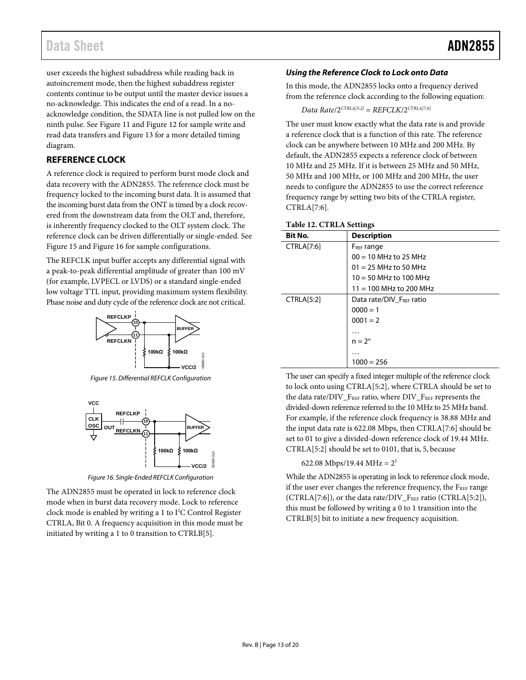user exceeds the highest subaddress while reading back in autoincrement mode, then the highest subaddress register contents continue to be output until the master device issues a no-acknowledge. This indicates the end of a read. In a noacknowledge condition, the SDATA line is not pulled low on the ninth pulse. See [Figure 11](#page-8-2) an[d Figure 12](#page-8-3) for sample write and read data transfers an[d Figure 13](#page-8-4) for a more detailed timing diagram.

### <span id="page-12-0"></span>**REFERENCE CLOCK**

A reference clock is required to perform burst mode clock and data recovery with the ADN2855. The reference clock must be frequency locked to the incoming burst data. It is assumed that the incoming burst data from the ONT is timed by a clock recovered from the downstream data from the OLT and, therefore, is inherently frequency clocked to the OLT system clock. The reference clock can be driven differentially or single-ended. See [Figure 15](#page-12-1) an[d Figure 16](#page-12-2) for sample configurations.

The REFCLK input buffer accepts any differential signal with a peak-to-peak differential amplitude of greater than 100 mV (for example, LVPECL or LVDS) or a standard single-ended low voltage TTL input, providing maximum system flexibility. Phase noise and duty cycle of the reference clock are not critical.



*Figure 15. Differential REFCLK Configuration*

<span id="page-12-1"></span>

*Figure 16. Single-Ended REFCLK Configuration*

<span id="page-12-2"></span>The ADN2855 must be operated in lock to reference clock mode when in burst data recovery mode. Lock to reference clock mode is enabled by writing a 1 to  $I<sup>2</sup>C$  Control Register CTRLA, Bit 0. A frequency acquisition in this mode must be initiated by writing a 1 to 0 transition to CTRLB[5].

### *Using the Reference Clock to Lock onto Data*

In this mode, the ADN2855 locks onto a frequency derived from the reference clock according to the following equation:

*Data Rate*/2*CTRLA[5:2]* = *REFCLK*/2*CTRLA[7:6]*

The user must know exactly what the data rate is and provide a reference clock that is a function of this rate. The reference clock can be anywhere between 10 MHz and 200 MHz. By default, the ADN2855 expects a reference clock of between 10 MHz and 25 MHz. If it is between 25 MHz and 50 MHz, 50 MHz and 100 MHz, or 100 MHz and 200 MHz, the user needs to configure the ADN2855 to use the correct reference frequency range by setting two bits of the CTRLA register, CTRLA[7:6].

| Table 12. CTRLA Settings |                           |  |  |
|--------------------------|---------------------------|--|--|
| <b>Bit No.</b>           | <b>Description</b>        |  |  |
| CTRLA[7:6]               | F <sub>REF</sub> range    |  |  |
|                          | $00 = 10$ MHz to 25 MHz   |  |  |
|                          | $01 = 25$ MHz to 50 MHz   |  |  |
|                          | $10 = 50$ MHz to 100 MHz  |  |  |
|                          | $11 = 100$ MHz to 200 MHz |  |  |
| <b>CTRLA[5:2]</b>        | Data rate/DIV_FREF ratio  |  |  |
|                          | $0000 = 1$                |  |  |
|                          | $0001 = 2$                |  |  |
|                          | .                         |  |  |
|                          | $n = 2n$                  |  |  |
|                          | .                         |  |  |
|                          | $1000 = 256$              |  |  |

The user can specify a fixed integer multiple of the reference clock to lock onto using CTRLA[5:2], where CTRLA should be set to the data rate/DIV\_FREF ratio, where DIV\_FREF represents the divided-down reference referred to the 10 MHz to 25 MHz band. For example, if the reference clock frequency is 38.88 MHz and the input data rate is 622.08 Mbps, then CTRLA[7:6] should be set to 01 to give a divided-down reference clock of 19.44 MHz. CTRLA[5:2] should be set to 0101, that is, 5, because

#### 622.08 Mbps/19.44 MHz =  $2^5$

While the ADN2855 is operating in lock to reference clock mode, if the user ever changes the reference frequency, the  $F_{REF}$  range (CTRLA[7:6]), or the data rate/DIV\_FREF ratio (CTRLA[5:2]), this must be followed by writing a 0 to 1 transition into the CTRLB[5] bit to initiate a new frequency acquisition.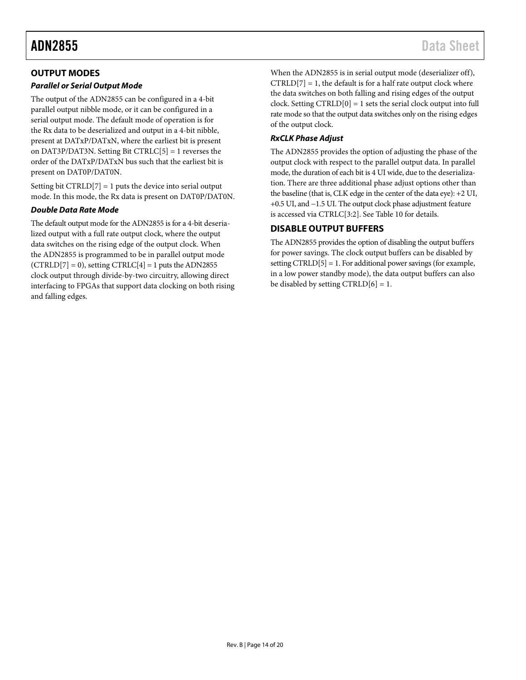## <span id="page-13-0"></span>**OUTPUT MODES**

### *Parallel or Serial Output Mode*

The output of the ADN2855 can be configured in a 4-bit parallel output nibble mode, or it can be configured in a serial output mode. The default mode of operation is for the Rx data to be deserialized and output in a 4-bit nibble, present at DATxP/DATxN, where the earliest bit is present on DAT3P/DAT3N. Setting Bit CTRLC[5] = 1 reverses the order of the DATxP/DATxN bus such that the earliest bit is present on DAT0P/DAT0N.

Setting bit CTRLD[7] = 1 puts the device into serial output mode. In this mode, the Rx data is present on DAT0P/DAT0N.

### *Double Data Rate Mode*

The default output mode for the ADN2855 is for a 4-bit deserialized output with a full rate output clock, where the output data switches on the rising edge of the output clock. When the ADN2855 is programmed to be in parallel output mode  $(CTRLD[7] = 0)$ , setting  $CTRLC[4] = 1$  puts the ADN2855 clock output through divide-by-two circuitry, allowing direct interfacing to FPGAs that support data clocking on both rising and falling edges.

When the ADN2855 is in serial output mode (deserializer off),  $CTRLD[7] = 1$ , the default is for a half rate output clock where the data switches on both falling and rising edges of the output clock. Setting  $CTRLD[0] = 1$  sets the serial clock output into full rate mode so that the output data switches only on the rising edges of the output clock.

### *RxCLK Phase Adjust*

The ADN2855 provides the option of adjusting the phase of the output clock with respect to the parallel output data. In parallel mode, the duration of each bit is 4 UI wide, due to the deserialization. There are three additional phase adjust options other than the baseline (that is, CLK edge in the center of the data eye): +2 UI, +0.5 UI, and −1.5 UI. The output clock phase adjustment feature is accessed via CTRLC[3:2]. Se[e Table 10](#page-9-2) for details.

# <span id="page-13-1"></span>**DISABLE OUTPUT BUFFERS**

The ADN2855 provides the option of disabling the output buffers for power savings. The clock output buffers can be disabled by setting CTRLD[5] = 1. For additional power savings (for example, in a low power standby mode), the data output buffers can also be disabled by setting  $CTRLD[6] = 1$ .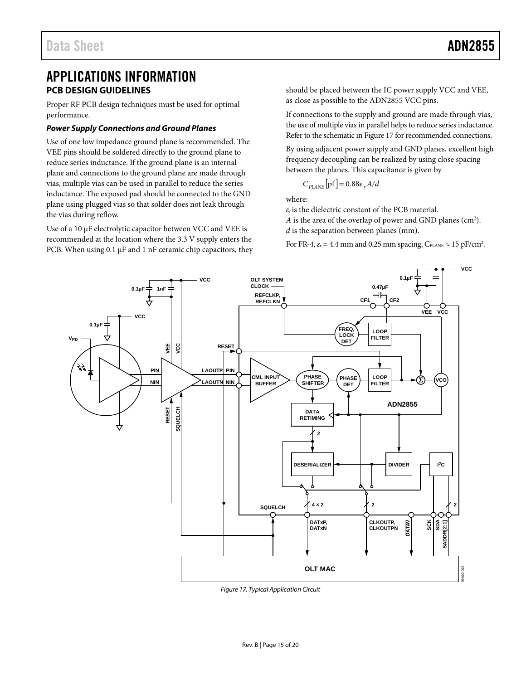# <span id="page-14-0"></span>APPLICATIONS INFORMATION **PCB DESIGN GUIDELINES**

<span id="page-14-1"></span>Proper RF PCB design techniques must be used for optimal performance.

#### *Power Supply Connections and Ground Planes*

Use of one low impedance ground plane is recommended. The VEE pins should be soldered directly to the ground plane to reduce series inductance. If the ground plane is an internal plane and connections to the ground plane are made through vias, multiple vias can be used in parallel to reduce the series inductance. The exposed pad should be connected to the GND plane using plugged vias so that solder does not leak through the vias during reflow.

Use of a 10  $\mu$ F electrolytic capacitor between VCC and VEE is recommended at the location where the 3.3 V supply enters the PCB. When using 0.1 µF and 1 nF ceramic chip capacitors, they should be placed between the IC power supply VCC and VEE, as close as possible to the ADN2855 VCC pins.

If connections to the supply and ground are made through vias, the use of multiple vias in parallel helps to reduce series inductance. Refer to the schematic i[n Figure 17](#page-14-2) for recommended connections.

By using adjacent power supply and GND planes, excellent high frequency decoupling can be realized by using close spacing between the planes. This capacitance is given by

$$
C_{\text{PLANE}}\big[\text{pf}\big]=0.88\epsilon_r\,A/d
$$

where:

*εr* is the dielectric constant of the PCB material.

A is the area of the overlap of power and GND planes (cm<sup>2</sup>). *d* is the separation between planes (mm).

For FR-4,  $\varepsilon_r$  = 4.4 mm and 0.25 mm spacing,  $C_{\text{PLANE}} \approx 15 \text{ pF/cm}^2$ .



<span id="page-14-2"></span>*Figure 17. Typical Application Circuit*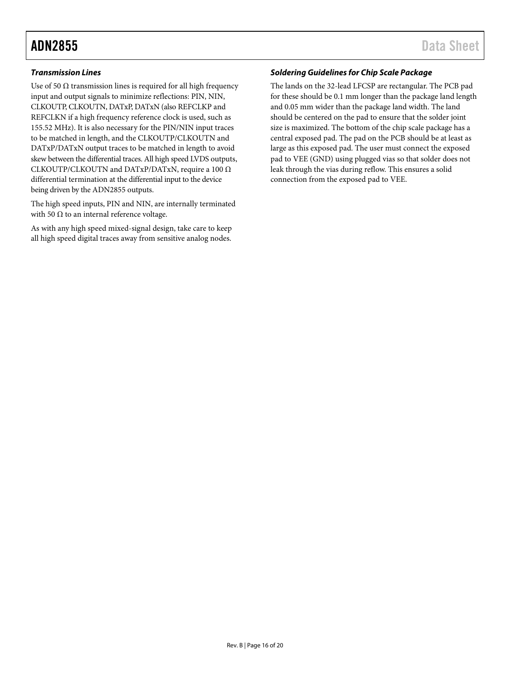### **Transmission Lines**

Use of 50  $\Omega$  transmission lines is required for all high frequency input and output signals to minimize reflections: PIN, NIN, CLKOUTP, CLKOUTN, DATxP, DATxN (also REFCLKP and REFCLKN if a high frequency reference clock is used, such as 155.52 MHz). It is also necessary for the PIN/NIN input traces to be matched in length, and the CLKOUTP/CLKOUTN and DATxP/DATxN output traces to be matched in length to avoid skew between the differential traces. All high speed LVDS outputs, CLKOUTP/CLKOUTN and DATxP/DATxN, require a 100 Ω differential termination at the differential input to the device being driven by the ADN2855 outputs.

The high speed inputs, PIN and NIN, are internally terminated with 50  $\Omega$  to an internal reference voltage.

As with any high speed mixed-signal design, take care to keep all high speed digital traces away from sensitive analog nodes.

### **Soldering Guidelines for Chip Scale Package**

The lands on the 32-lead LFCSP are rectangular. The PCB pad for these should be 0.1 mm longer than the package land length and 0.05 mm wider than the package land width. The land should be centered on the pad to ensure that the solder joint size is maximized. The [bottom of the chip scale pack](http://www.analog.com/CP-32-3)age has a central exposed pad. The pad on the PCB should be at least as large as this exposed pad. The user must connect the exposed pad to VEE (GND) using plugged vias so that solder does not leak through the vias during reflow. This ensures a solid connection from the exposed pad to VEE.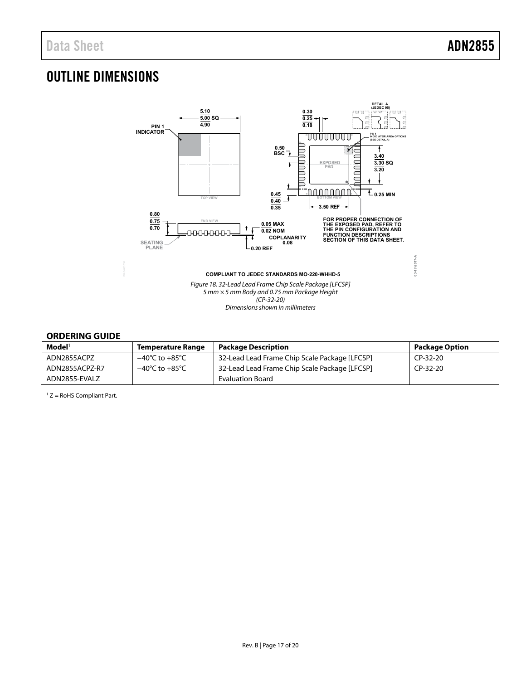# <span id="page-16-0"></span>OUTLINE DIMENSIONS



### <span id="page-16-1"></span>**ORDERING GUIDE**

| $\mathsf{Model}^1$ | <b>Temperature Range</b>           | <b>Package Description</b>                    | <b>Package Option</b> |
|--------------------|------------------------------------|-----------------------------------------------|-----------------------|
| ADN2855ACPZ        | −40℃ to +85℃                       | 32-Lead Lead Frame Chip Scale Package [LFCSP] | CP-32-20              |
| ADN2855ACPZ-R7     | $-40^{\circ}$ C to $+85^{\circ}$ C | 32-Lead Lead Frame Chip Scale Package [LFCSP] | $CP-32-20$            |
| ADN2855-EVALZ      |                                    | <b>Evaluation Board</b>                       |                       |

 $1 Z =$  RoHS Compliant Part.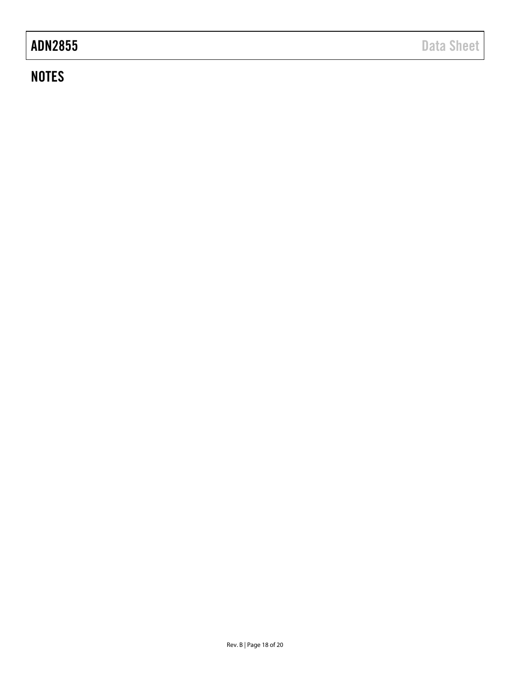# **NOTES**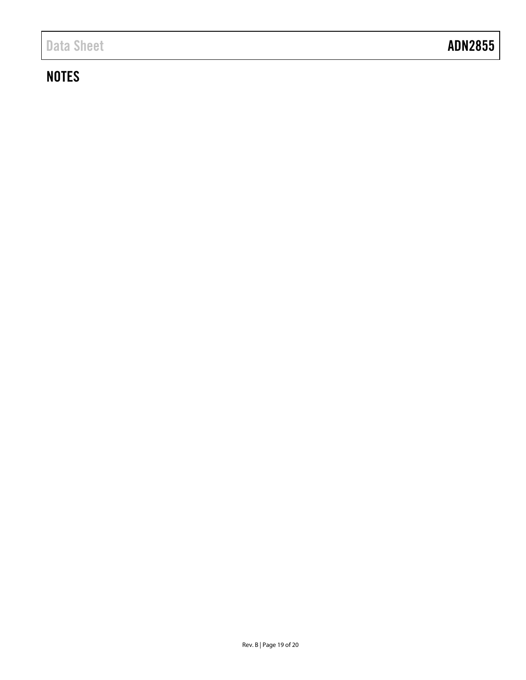# **NOTES**